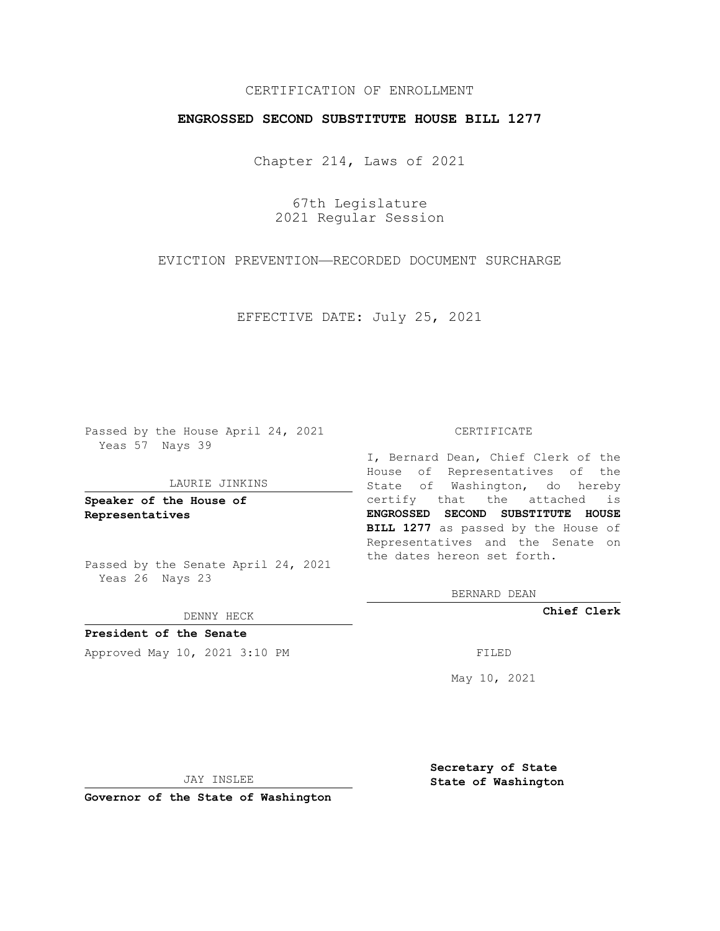# CERTIFICATION OF ENROLLMENT

## **ENGROSSED SECOND SUBSTITUTE HOUSE BILL 1277**

Chapter 214, Laws of 2021

67th Legislature 2021 Regular Session

EVICTION PREVENTION—RECORDED DOCUMENT SURCHARGE

EFFECTIVE DATE: July 25, 2021

Passed by the House April 24, 2021 Yeas 57 Nays 39

### LAURIE JINKINS

**Speaker of the House of Representatives**

Passed by the Senate April 24, 2021 Yeas 26 Nays 23

DENNY HECK

**President of the Senate** Approved May 10, 2021 3:10 PM FILED

#### CERTIFICATE

I, Bernard Dean, Chief Clerk of the House of Representatives of the State of Washington, do hereby certify that the attached is **ENGROSSED SECOND SUBSTITUTE HOUSE BILL 1277** as passed by the House of Representatives and the Senate on the dates hereon set forth.

BERNARD DEAN

**Chief Clerk**

May 10, 2021

JAY INSLEE

**Governor of the State of Washington**

**Secretary of State State of Washington**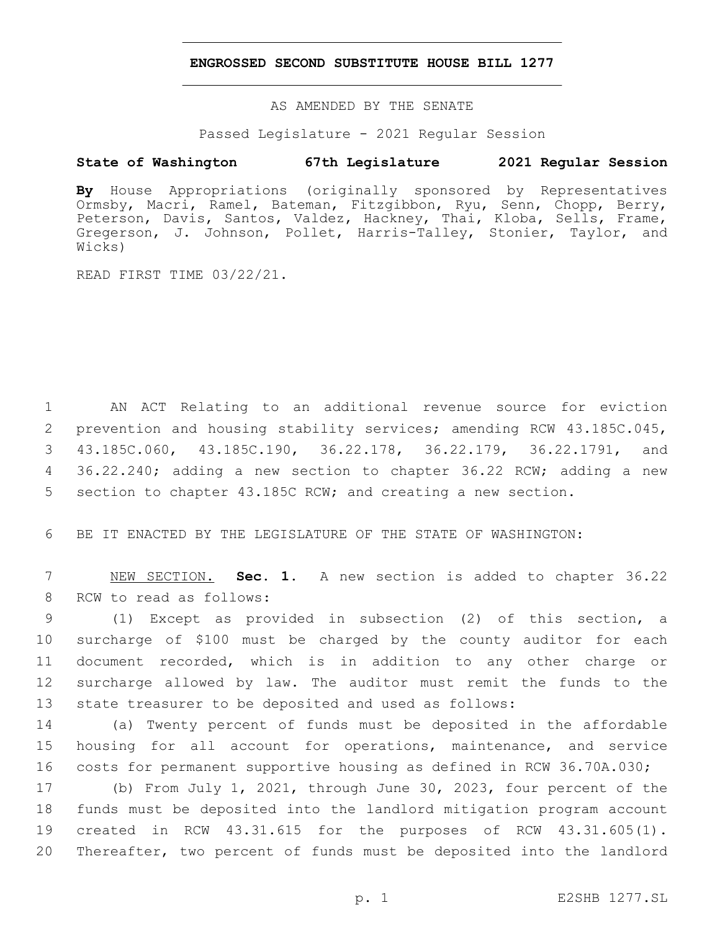## **ENGROSSED SECOND SUBSTITUTE HOUSE BILL 1277**

AS AMENDED BY THE SENATE

Passed Legislature - 2021 Regular Session

# **State of Washington 67th Legislature 2021 Regular Session**

**By** House Appropriations (originally sponsored by Representatives Ormsby, Macri, Ramel, Bateman, Fitzgibbon, Ryu, Senn, Chopp, Berry, Peterson, Davis, Santos, Valdez, Hackney, Thai, Kloba, Sells, Frame, Gregerson, J. Johnson, Pollet, Harris-Talley, Stonier, Taylor, and Wicks)

READ FIRST TIME 03/22/21.

 AN ACT Relating to an additional revenue source for eviction prevention and housing stability services; amending RCW 43.185C.045, 43.185C.060, 43.185C.190, 36.22.178, 36.22.179, 36.22.1791, and 36.22.240; adding a new section to chapter 36.22 RCW; adding a new section to chapter 43.185C RCW; and creating a new section.

BE IT ENACTED BY THE LEGISLATURE OF THE STATE OF WASHINGTON:

 NEW SECTION. **Sec. 1.** A new section is added to chapter 36.22 8 RCW to read as follows:

 (1) Except as provided in subsection (2) of this section, a surcharge of \$100 must be charged by the county auditor for each document recorded, which is in addition to any other charge or surcharge allowed by law. The auditor must remit the funds to the state treasurer to be deposited and used as follows:

 (a) Twenty percent of funds must be deposited in the affordable housing for all account for operations, maintenance, and service costs for permanent supportive housing as defined in RCW 36.70A.030;

 (b) From July 1, 2021, through June 30, 2023, four percent of the funds must be deposited into the landlord mitigation program account created in RCW 43.31.615 for the purposes of RCW 43.31.605(1). Thereafter, two percent of funds must be deposited into the landlord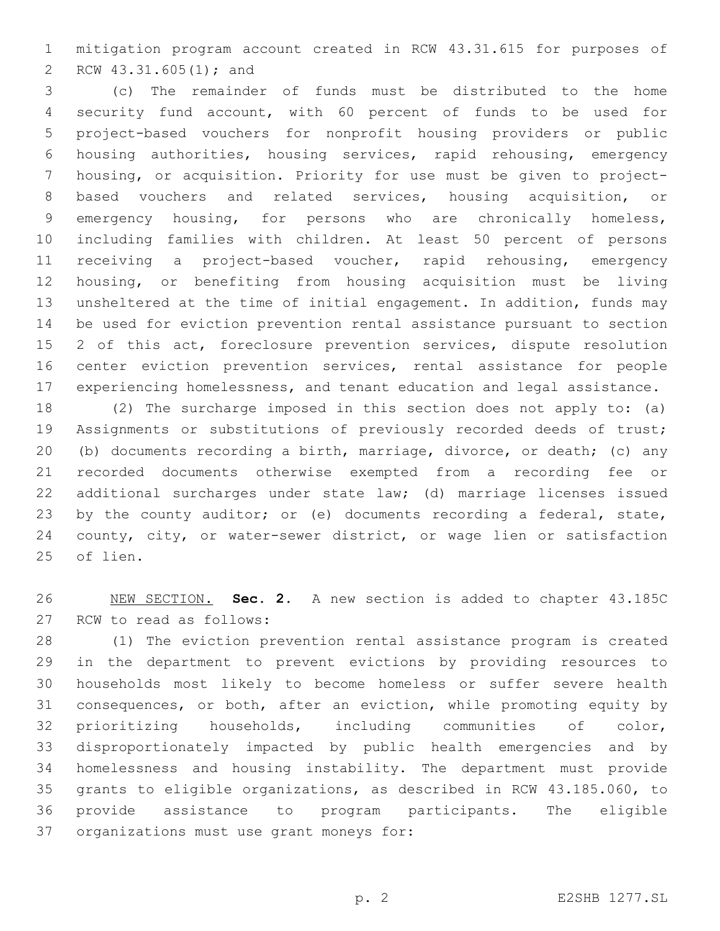mitigation program account created in RCW 43.31.615 for purposes of 2 RCW 43.31.605(1); and

 (c) The remainder of funds must be distributed to the home security fund account, with 60 percent of funds to be used for project-based vouchers for nonprofit housing providers or public housing authorities, housing services, rapid rehousing, emergency housing, or acquisition. Priority for use must be given to project- based vouchers and related services, housing acquisition, or emergency housing, for persons who are chronically homeless, including families with children. At least 50 percent of persons receiving a project-based voucher, rapid rehousing, emergency housing, or benefiting from housing acquisition must be living unsheltered at the time of initial engagement. In addition, funds may be used for eviction prevention rental assistance pursuant to section 2 of this act, foreclosure prevention services, dispute resolution center eviction prevention services, rental assistance for people experiencing homelessness, and tenant education and legal assistance.

 (2) The surcharge imposed in this section does not apply to: (a) Assignments or substitutions of previously recorded deeds of trust; (b) documents recording a birth, marriage, divorce, or death; (c) any recorded documents otherwise exempted from a recording fee or additional surcharges under state law; (d) marriage licenses issued 23 by the county auditor; or (e) documents recording a federal, state, county, city, or water-sewer district, or wage lien or satisfaction 25 of lien.

 NEW SECTION. **Sec. 2.** A new section is added to chapter 43.185C 27 RCW to read as follows:

 (1) The eviction prevention rental assistance program is created in the department to prevent evictions by providing resources to households most likely to become homeless or suffer severe health consequences, or both, after an eviction, while promoting equity by prioritizing households, including communities of color, disproportionately impacted by public health emergencies and by homelessness and housing instability. The department must provide grants to eligible organizations, as described in RCW 43.185.060, to provide assistance to program participants. The eligible 37 organizations must use grant moneys for: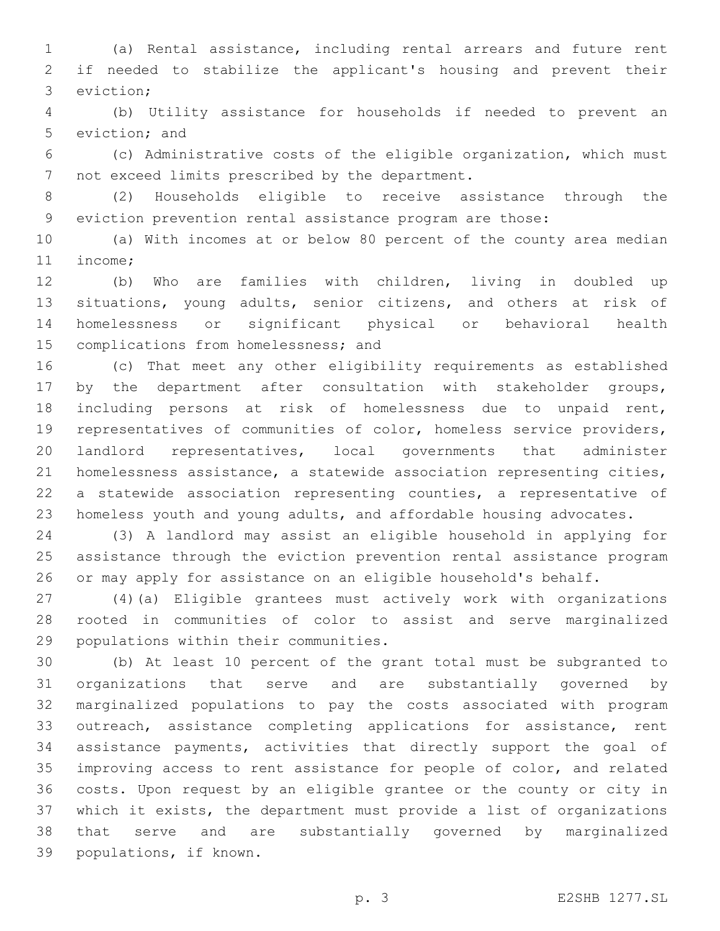(a) Rental assistance, including rental arrears and future rent if needed to stabilize the applicant's housing and prevent their 3 eviction;

 (b) Utility assistance for households if needed to prevent an 5 eviction; and

 (c) Administrative costs of the eligible organization, which must 7 not exceed limits prescribed by the department.

 (2) Households eligible to receive assistance through the eviction prevention rental assistance program are those:

 (a) With incomes at or below 80 percent of the county area median 11 income;

 (b) Who are families with children, living in doubled up situations, young adults, senior citizens, and others at risk of homelessness or significant physical or behavioral health 15 complications from homelessness; and

 (c) That meet any other eligibility requirements as established by the department after consultation with stakeholder groups, including persons at risk of homelessness due to unpaid rent, representatives of communities of color, homeless service providers, landlord representatives, local governments that administer homelessness assistance, a statewide association representing cities, a statewide association representing counties, a representative of homeless youth and young adults, and affordable housing advocates.

 (3) A landlord may assist an eligible household in applying for assistance through the eviction prevention rental assistance program or may apply for assistance on an eligible household's behalf.

 (4)(a) Eligible grantees must actively work with organizations rooted in communities of color to assist and serve marginalized 29 populations within their communities.

 (b) At least 10 percent of the grant total must be subgranted to organizations that serve and are substantially governed by marginalized populations to pay the costs associated with program 33 outreach, assistance completing applications for assistance, rent assistance payments, activities that directly support the goal of improving access to rent assistance for people of color, and related costs. Upon request by an eligible grantee or the county or city in which it exists, the department must provide a list of organizations that serve and are substantially governed by marginalized 39 populations, if known.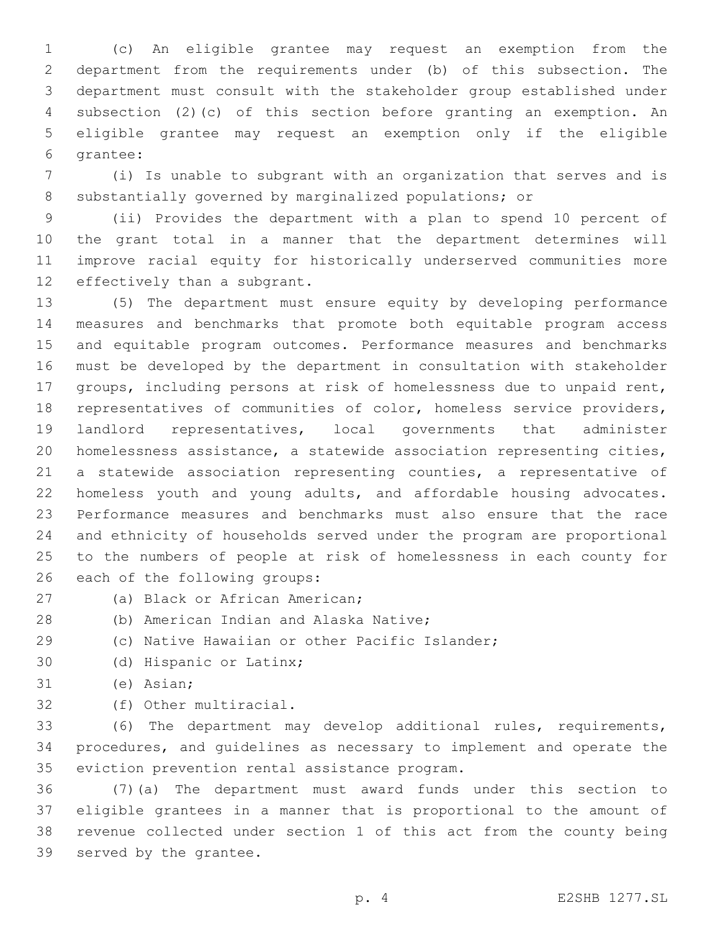(c) An eligible grantee may request an exemption from the department from the requirements under (b) of this subsection. The department must consult with the stakeholder group established under subsection (2)(c) of this section before granting an exemption. An eligible grantee may request an exemption only if the eligible 6 grantee:

 (i) Is unable to subgrant with an organization that serves and is substantially governed by marginalized populations; or

 (ii) Provides the department with a plan to spend 10 percent of the grant total in a manner that the department determines will improve racial equity for historically underserved communities more 12 effectively than a subgrant.

 (5) The department must ensure equity by developing performance measures and benchmarks that promote both equitable program access and equitable program outcomes. Performance measures and benchmarks must be developed by the department in consultation with stakeholder groups, including persons at risk of homelessness due to unpaid rent, representatives of communities of color, homeless service providers, landlord representatives, local governments that administer homelessness assistance, a statewide association representing cities, a statewide association representing counties, a representative of homeless youth and young adults, and affordable housing advocates. Performance measures and benchmarks must also ensure that the race and ethnicity of households served under the program are proportional to the numbers of people at risk of homelessness in each county for 26 each of the following groups:

- 27 (a) Black or African American;
	-
- 28 (b) American Indian and Alaska Native;
- (c) Native Hawaiian or other Pacific Islander;
- 30 (d) Hispanic or Latinx;
- 31 (e) Asian;
- 32 (f) Other multiracial.

 (6) The department may develop additional rules, requirements, procedures, and guidelines as necessary to implement and operate the 35 eviction prevention rental assistance program.

 (7)(a) The department must award funds under this section to eligible grantees in a manner that is proportional to the amount of revenue collected under section 1 of this act from the county being 39 served by the grantee.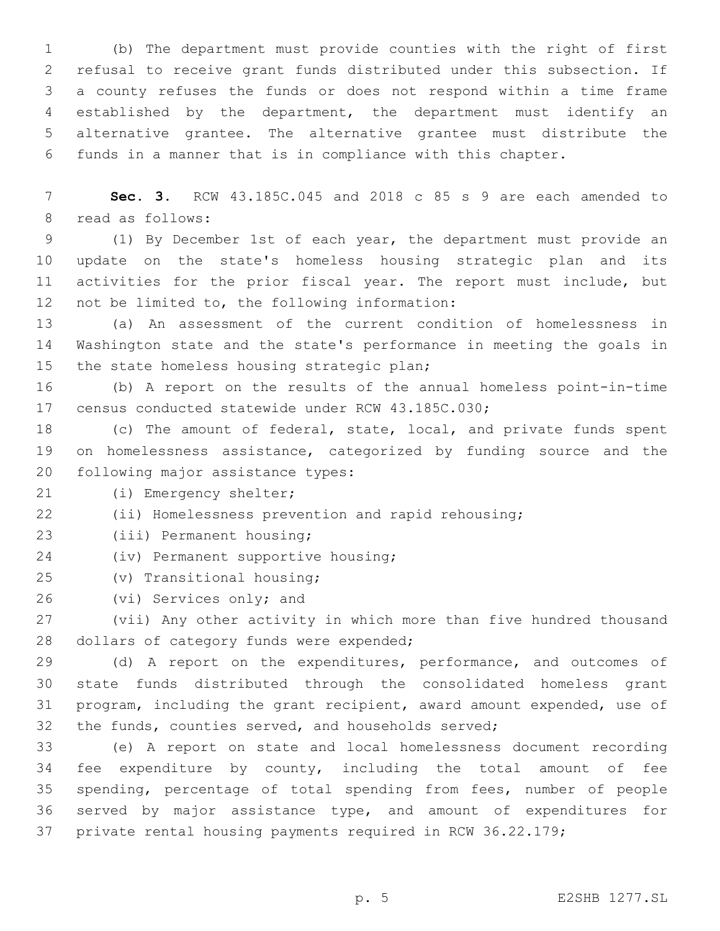(b) The department must provide counties with the right of first refusal to receive grant funds distributed under this subsection. If a county refuses the funds or does not respond within a time frame established by the department, the department must identify an alternative grantee. The alternative grantee must distribute the funds in a manner that is in compliance with this chapter.

 **Sec. 3.** RCW 43.185C.045 and 2018 c 85 s 9 are each amended to 8 read as follows:

 (1) By December 1st of each year, the department must provide an update on the state's homeless housing strategic plan and its activities for the prior fiscal year. The report must include, but 12 not be limited to, the following information:

 (a) An assessment of the current condition of homelessness in Washington state and the state's performance in meeting the goals in 15 the state homeless housing strategic plan;

 (b) A report on the results of the annual homeless point-in-time 17 census conducted statewide under RCW 43.185C.030;

 (c) The amount of federal, state, local, and private funds spent on homelessness assistance, categorized by funding source and the 20 following major assistance types:

21 (i) Emergency shelter;

(ii) Homelessness prevention and rapid rehousing;

23 (iii) Permanent housing;

24 (iv) Permanent supportive housing;

(v) Transitional housing;25

26 (vi) Services only; and

 (vii) Any other activity in which more than five hundred thousand 28 dollars of category funds were expended;

29 (d) A report on the expenditures, performance, and outcomes of state funds distributed through the consolidated homeless grant program, including the grant recipient, award amount expended, use of the funds, counties served, and households served;

 (e) A report on state and local homelessness document recording fee expenditure by county, including the total amount of fee spending, percentage of total spending from fees, number of people served by major assistance type, and amount of expenditures for private rental housing payments required in RCW 36.22.179;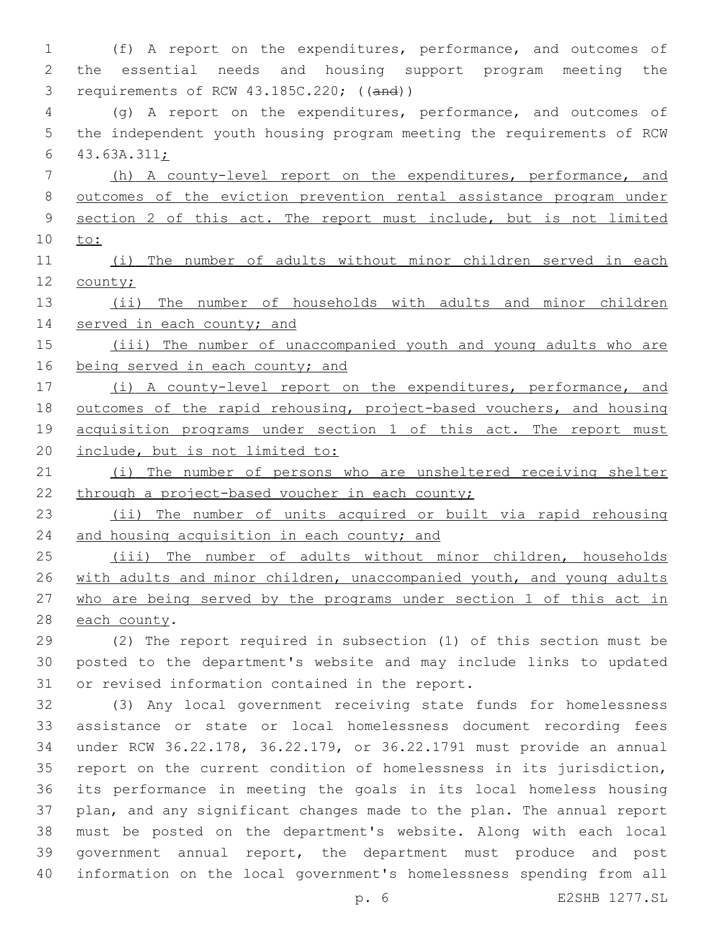(f) A report on the expenditures, performance, and outcomes of the essential needs and housing support program meeting the requirements of RCW 43.185C.220; ((and)) (g) A report on the expenditures, performance, and outcomes of the independent youth housing program meeting the requirements of RCW  $43.63A.311j$  (h) A county-level report on the expenditures, performance, and outcomes of the eviction prevention rental assistance program under section 2 of this act. The report must include, but is not limited to: (i) The number of adults without minor children served in each county; (ii) The number of households with adults and minor children 14 served in each county; and (iii) The number of unaccompanied youth and young adults who are 16 being served in each county; and (i) A county-level report on the expenditures, performance, and outcomes of the rapid rehousing, project-based vouchers, and housing 19 acquisition programs under section 1 of this act. The report must include, but is not limited to: (i) The number of persons who are unsheltered receiving shelter 22 through a project-based voucher in each county; (ii) The number of units acquired or built via rapid rehousing 24 and housing acquisition in each county; and (iii) The number of adults without minor children, households 26 with adults and minor children, unaccompanied youth, and young adults who are being served by the programs under section 1 of this act in 28 each county. (2) The report required in subsection (1) of this section must be posted to the department's website and may include links to updated 31 or revised information contained in the report. (3) Any local government receiving state funds for homelessness assistance or state or local homelessness document recording fees under RCW 36.22.178, 36.22.179, or 36.22.1791 must provide an annual

 report on the current condition of homelessness in its jurisdiction, its performance in meeting the goals in its local homeless housing plan, and any significant changes made to the plan. The annual report must be posted on the department's website. Along with each local government annual report, the department must produce and post information on the local government's homelessness spending from all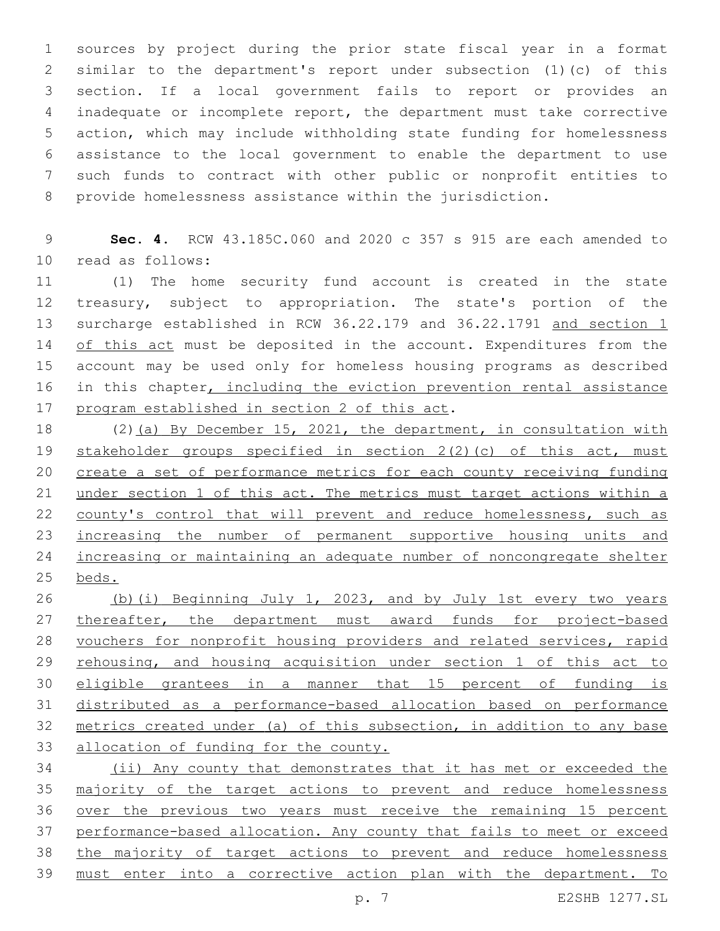sources by project during the prior state fiscal year in a format similar to the department's report under subsection (1)(c) of this section. If a local government fails to report or provides an inadequate or incomplete report, the department must take corrective action, which may include withholding state funding for homelessness assistance to the local government to enable the department to use such funds to contract with other public or nonprofit entities to provide homelessness assistance within the jurisdiction.

 **Sec. 4.** RCW 43.185C.060 and 2020 c 357 s 915 are each amended to 10 read as follows:

 (1) The home security fund account is created in the state treasury, subject to appropriation. The state's portion of the 13 surcharge established in RCW 36.22.179 and 36.22.1791 and section 1 14 of this act must be deposited in the account. Expenditures from the account may be used only for homeless housing programs as described 16 in this chapter, including the eviction prevention rental assistance 17 program established in section 2 of this act.

 (2)(a) By December 15, 2021, the department, in consultation with stakeholder groups specified in section 2(2)(c) of this act, must create a set of performance metrics for each county receiving funding 21 under section 1 of this act. The metrics must target actions within a 22 county's control that will prevent and reduce homelessness, such as 23 increasing the number of permanent supportive housing units and increasing or maintaining an adequate number of noncongregate shelter beds.

 (b)(i) Beginning July 1, 2023, and by July 1st every two years 27 thereafter, the department must award funds for project-based vouchers for nonprofit housing providers and related services, rapid 29 rehousing, and housing acquisition under section 1 of this act to eligible grantees in a manner that 15 percent of funding is distributed as a performance-based allocation based on performance metrics created under (a) of this subsection, in addition to any base allocation of funding for the county.

 (ii) Any county that demonstrates that it has met or exceeded the 35 majority of the target actions to prevent and reduce homelessness over the previous two years must receive the remaining 15 percent performance-based allocation. Any county that fails to meet or exceed the majority of target actions to prevent and reduce homelessness must enter into a corrective action plan with the department. To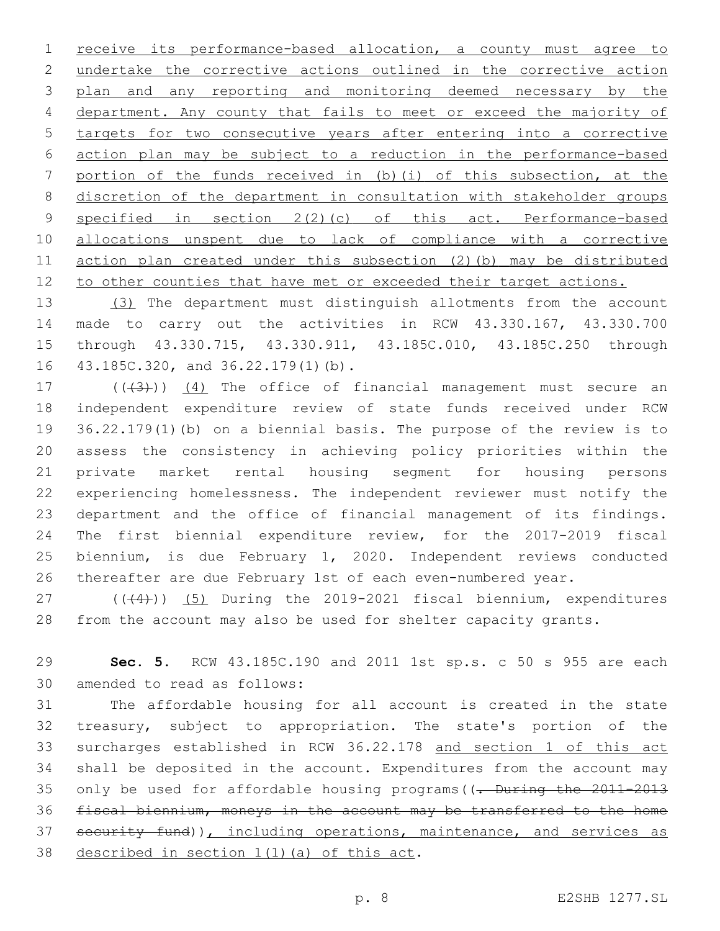receive its performance-based allocation, a county must agree to undertake the corrective actions outlined in the corrective action plan and any reporting and monitoring deemed necessary by the department. Any county that fails to meet or exceed the majority of targets for two consecutive years after entering into a corrective action plan may be subject to a reduction in the performance-based portion of the funds received in (b)(i) of this subsection, at the discretion of the department in consultation with stakeholder groups 9 specified in section 2(2)(c) of this act. Performance-based allocations unspent due to lack of compliance with a corrective action plan created under this subsection (2)(b) may be distributed 12 to other counties that have met or exceeded their target actions.

 (3) The department must distinguish allotments from the account made to carry out the activities in RCW 43.330.167, 43.330.700 through 43.330.715, 43.330.911, 43.185C.010, 43.185C.250 through 16 43.185C.320, and 36.22.179(1)(b).

 $((+3+))$   $(4)$  The office of financial management must secure an independent expenditure review of state funds received under RCW 36.22.179(1)(b) on a biennial basis. The purpose of the review is to assess the consistency in achieving policy priorities within the private market rental housing segment for housing persons experiencing homelessness. The independent reviewer must notify the department and the office of financial management of its findings. The first biennial expenditure review, for the 2017-2019 fiscal biennium, is due February 1, 2020. Independent reviews conducted thereafter are due February 1st of each even-numbered year.

27 (((4))) (5) During the 2019-2021 fiscal biennium, expenditures from the account may also be used for shelter capacity grants.

 **Sec. 5.** RCW 43.185C.190 and 2011 1st sp.s. c 50 s 955 are each 30 amended to read as follows:

 The affordable housing for all account is created in the state treasury, subject to appropriation. The state's portion of the surcharges established in RCW 36.22.178 and section 1 of this act shall be deposited in the account. Expenditures from the account may 35 only be used for affordable housing programs ((. During the 2011-2013 fiscal biennium, moneys in the account may be transferred to the home 37 security fund)), including operations, maintenance, and services as 38 described in section  $1(1)(a)$  of this act.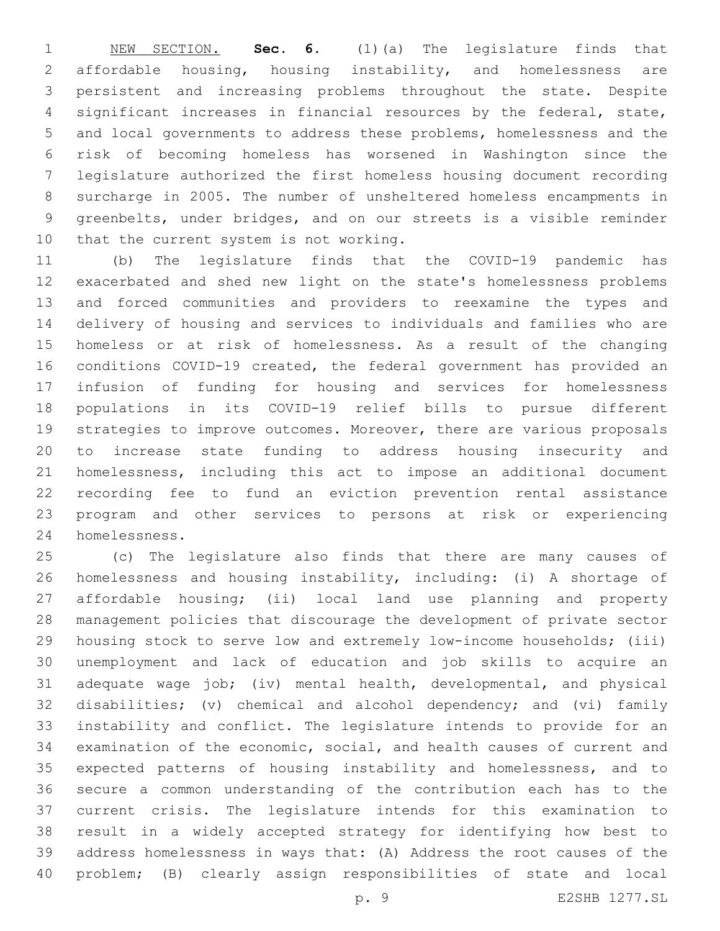NEW SECTION. **Sec. 6.** (1)(a) The legislature finds that affordable housing, housing instability, and homelessness are persistent and increasing problems throughout the state. Despite significant increases in financial resources by the federal, state, and local governments to address these problems, homelessness and the risk of becoming homeless has worsened in Washington since the legislature authorized the first homeless housing document recording surcharge in 2005. The number of unsheltered homeless encampments in greenbelts, under bridges, and on our streets is a visible reminder 10 that the current system is not working.

 (b) The legislature finds that the COVID-19 pandemic has exacerbated and shed new light on the state's homelessness problems and forced communities and providers to reexamine the types and delivery of housing and services to individuals and families who are homeless or at risk of homelessness. As a result of the changing conditions COVID-19 created, the federal government has provided an infusion of funding for housing and services for homelessness populations in its COVID-19 relief bills to pursue different strategies to improve outcomes. Moreover, there are various proposals to increase state funding to address housing insecurity and homelessness, including this act to impose an additional document recording fee to fund an eviction prevention rental assistance program and other services to persons at risk or experiencing homelessness.24

 (c) The legislature also finds that there are many causes of homelessness and housing instability, including: (i) A shortage of affordable housing; (ii) local land use planning and property management policies that discourage the development of private sector housing stock to serve low and extremely low-income households; (iii) unemployment and lack of education and job skills to acquire an adequate wage job; (iv) mental health, developmental, and physical disabilities; (v) chemical and alcohol dependency; and (vi) family instability and conflict. The legislature intends to provide for an examination of the economic, social, and health causes of current and expected patterns of housing instability and homelessness, and to secure a common understanding of the contribution each has to the current crisis. The legislature intends for this examination to result in a widely accepted strategy for identifying how best to address homelessness in ways that: (A) Address the root causes of the problem; (B) clearly assign responsibilities of state and local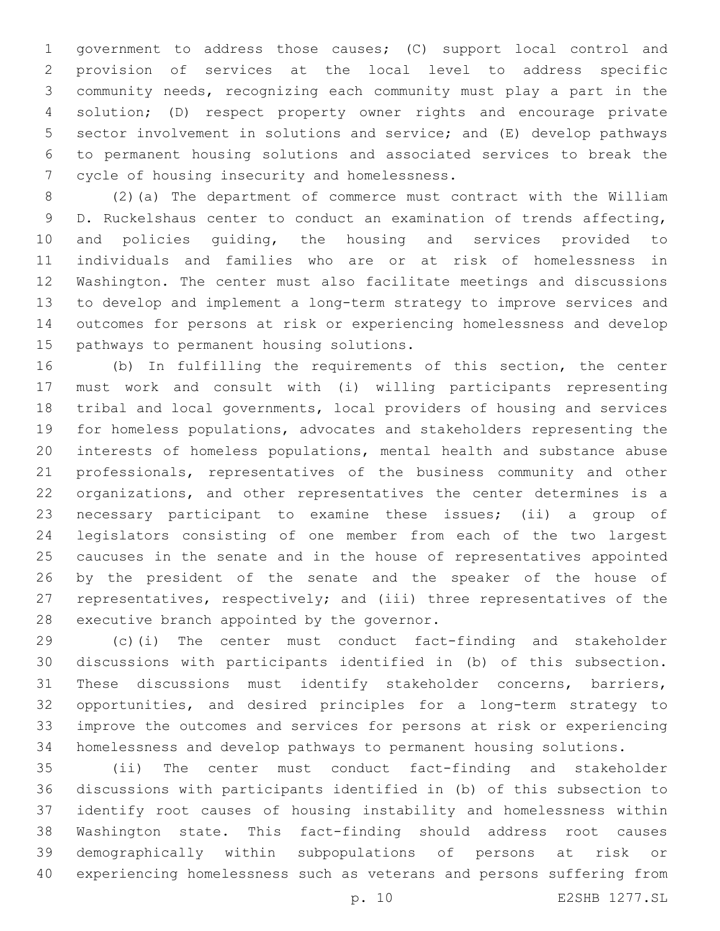government to address those causes; (C) support local control and provision of services at the local level to address specific community needs, recognizing each community must play a part in the solution; (D) respect property owner rights and encourage private sector involvement in solutions and service; and (E) develop pathways to permanent housing solutions and associated services to break the 7 cycle of housing insecurity and homelessness.

 (2)(a) The department of commerce must contract with the William D. Ruckelshaus center to conduct an examination of trends affecting, and policies guiding, the housing and services provided to individuals and families who are or at risk of homelessness in Washington. The center must also facilitate meetings and discussions to develop and implement a long-term strategy to improve services and outcomes for persons at risk or experiencing homelessness and develop 15 pathways to permanent housing solutions.

 (b) In fulfilling the requirements of this section, the center must work and consult with (i) willing participants representing tribal and local governments, local providers of housing and services for homeless populations, advocates and stakeholders representing the interests of homeless populations, mental health and substance abuse professionals, representatives of the business community and other organizations, and other representatives the center determines is a necessary participant to examine these issues; (ii) a group of legislators consisting of one member from each of the two largest caucuses in the senate and in the house of representatives appointed by the president of the senate and the speaker of the house of representatives, respectively; and (iii) three representatives of the 28 executive branch appointed by the governor.

 (c)(i) The center must conduct fact-finding and stakeholder discussions with participants identified in (b) of this subsection. These discussions must identify stakeholder concerns, barriers, opportunities, and desired principles for a long-term strategy to improve the outcomes and services for persons at risk or experiencing homelessness and develop pathways to permanent housing solutions.

 (ii) The center must conduct fact-finding and stakeholder discussions with participants identified in (b) of this subsection to identify root causes of housing instability and homelessness within Washington state. This fact-finding should address root causes demographically within subpopulations of persons at risk or experiencing homelessness such as veterans and persons suffering from

p. 10 E2SHB 1277.SL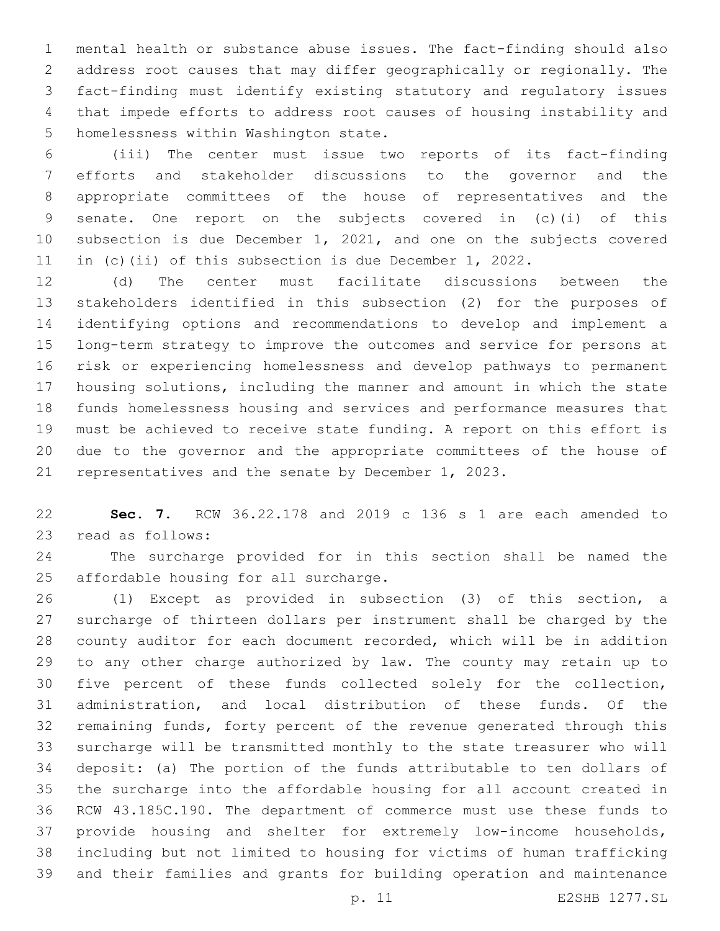mental health or substance abuse issues. The fact-finding should also address root causes that may differ geographically or regionally. The fact-finding must identify existing statutory and regulatory issues that impede efforts to address root causes of housing instability and 5 homelessness within Washington state.

 (iii) The center must issue two reports of its fact-finding efforts and stakeholder discussions to the governor and the appropriate committees of the house of representatives and the senate. One report on the subjects covered in (c)(i) of this subsection is due December 1, 2021, and one on the subjects covered in (c)(ii) of this subsection is due December 1, 2022.

 (d) The center must facilitate discussions between the stakeholders identified in this subsection (2) for the purposes of identifying options and recommendations to develop and implement a long-term strategy to improve the outcomes and service for persons at risk or experiencing homelessness and develop pathways to permanent housing solutions, including the manner and amount in which the state funds homelessness housing and services and performance measures that must be achieved to receive state funding. A report on this effort is due to the governor and the appropriate committees of the house of representatives and the senate by December 1, 2023.

 **Sec. 7.** RCW 36.22.178 and 2019 c 136 s 1 are each amended to 23 read as follows:

 The surcharge provided for in this section shall be named the 25 affordable housing for all surcharge.

 (1) Except as provided in subsection (3) of this section, a surcharge of thirteen dollars per instrument shall be charged by the county auditor for each document recorded, which will be in addition to any other charge authorized by law. The county may retain up to five percent of these funds collected solely for the collection, administration, and local distribution of these funds. Of the remaining funds, forty percent of the revenue generated through this surcharge will be transmitted monthly to the state treasurer who will deposit: (a) The portion of the funds attributable to ten dollars of the surcharge into the affordable housing for all account created in RCW 43.185C.190. The department of commerce must use these funds to provide housing and shelter for extremely low-income households, including but not limited to housing for victims of human trafficking and their families and grants for building operation and maintenance

p. 11 E2SHB 1277.SL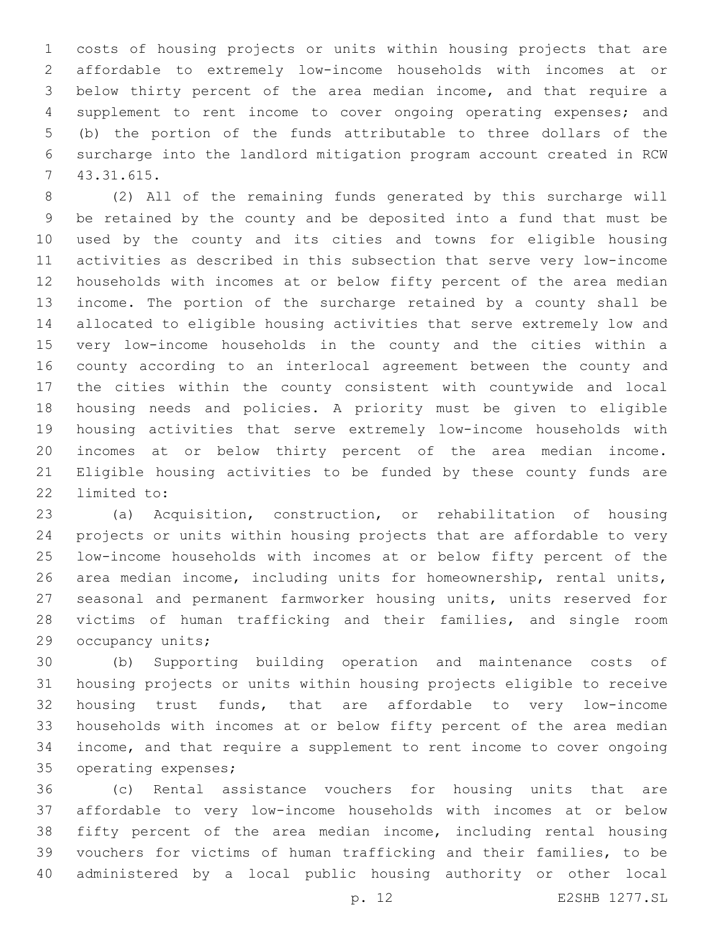costs of housing projects or units within housing projects that are affordable to extremely low-income households with incomes at or below thirty percent of the area median income, and that require a supplement to rent income to cover ongoing operating expenses; and (b) the portion of the funds attributable to three dollars of the surcharge into the landlord mitigation program account created in RCW 43.31.615.7

 (2) All of the remaining funds generated by this surcharge will be retained by the county and be deposited into a fund that must be used by the county and its cities and towns for eligible housing activities as described in this subsection that serve very low-income households with incomes at or below fifty percent of the area median income. The portion of the surcharge retained by a county shall be allocated to eligible housing activities that serve extremely low and very low-income households in the county and the cities within a county according to an interlocal agreement between the county and the cities within the county consistent with countywide and local housing needs and policies. A priority must be given to eligible housing activities that serve extremely low-income households with incomes at or below thirty percent of the area median income. Eligible housing activities to be funded by these county funds are 22 limited to:

 (a) Acquisition, construction, or rehabilitation of housing projects or units within housing projects that are affordable to very low-income households with incomes at or below fifty percent of the area median income, including units for homeownership, rental units, seasonal and permanent farmworker housing units, units reserved for victims of human trafficking and their families, and single room 29 occupancy units;

 (b) Supporting building operation and maintenance costs of housing projects or units within housing projects eligible to receive housing trust funds, that are affordable to very low-income households with incomes at or below fifty percent of the area median income, and that require a supplement to rent income to cover ongoing 35 operating expenses;

 (c) Rental assistance vouchers for housing units that are affordable to very low-income households with incomes at or below fifty percent of the area median income, including rental housing vouchers for victims of human trafficking and their families, to be administered by a local public housing authority or other local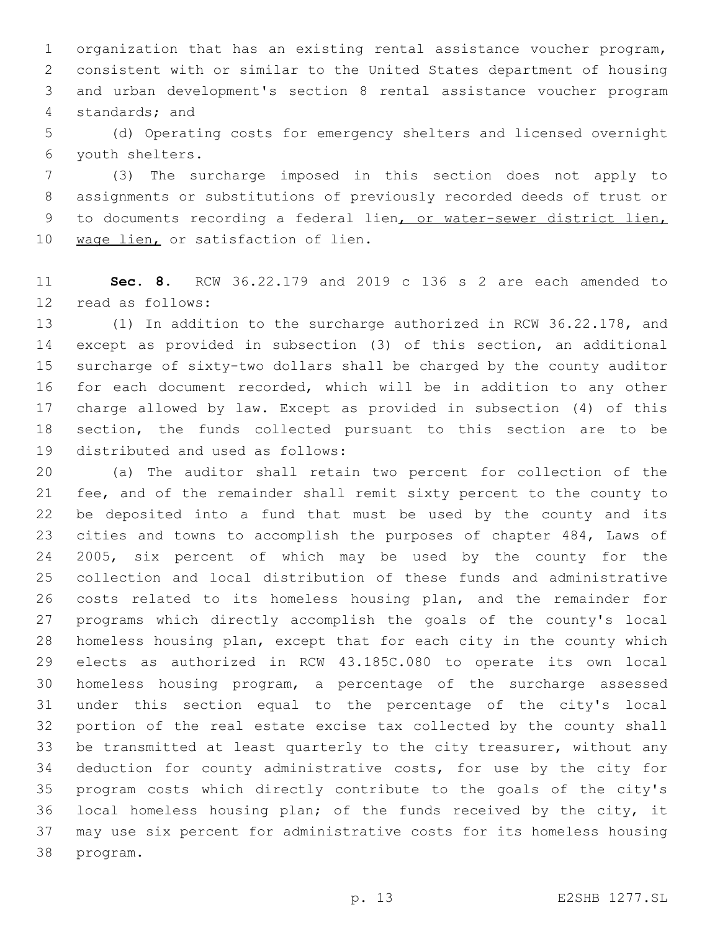organization that has an existing rental assistance voucher program, consistent with or similar to the United States department of housing and urban development's section 8 rental assistance voucher program 4 standards; and

 (d) Operating costs for emergency shelters and licensed overnight youth shelters.6

 (3) The surcharge imposed in this section does not apply to assignments or substitutions of previously recorded deeds of trust or to documents recording a federal lien, or water-sewer district lien, 10 wage lien, or satisfaction of lien.

 **Sec. 8.** RCW 36.22.179 and 2019 c 136 s 2 are each amended to 12 read as follows:

 (1) In addition to the surcharge authorized in RCW 36.22.178, and except as provided in subsection (3) of this section, an additional surcharge of sixty-two dollars shall be charged by the county auditor for each document recorded, which will be in addition to any other charge allowed by law. Except as provided in subsection (4) of this section, the funds collected pursuant to this section are to be 19 distributed and used as follows:

 (a) The auditor shall retain two percent for collection of the fee, and of the remainder shall remit sixty percent to the county to be deposited into a fund that must be used by the county and its cities and towns to accomplish the purposes of chapter 484, Laws of 2005, six percent of which may be used by the county for the collection and local distribution of these funds and administrative costs related to its homeless housing plan, and the remainder for programs which directly accomplish the goals of the county's local homeless housing plan, except that for each city in the county which elects as authorized in RCW 43.185C.080 to operate its own local homeless housing program, a percentage of the surcharge assessed under this section equal to the percentage of the city's local portion of the real estate excise tax collected by the county shall be transmitted at least quarterly to the city treasurer, without any deduction for county administrative costs, for use by the city for program costs which directly contribute to the goals of the city's local homeless housing plan; of the funds received by the city, it may use six percent for administrative costs for its homeless housing 38 program.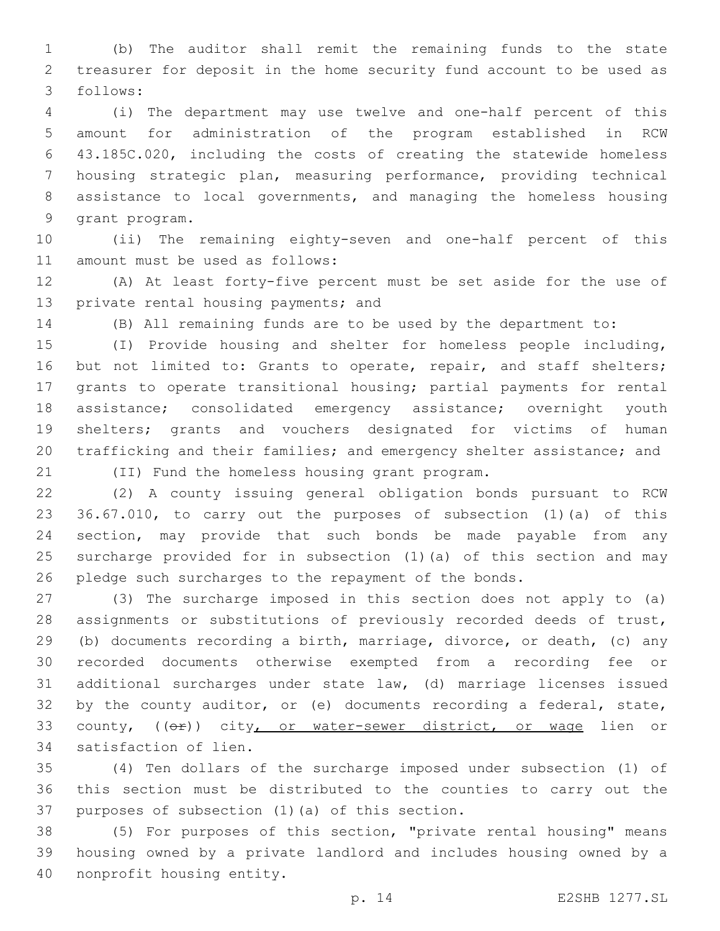(b) The auditor shall remit the remaining funds to the state treasurer for deposit in the home security fund account to be used as follows:3

 (i) The department may use twelve and one-half percent of this amount for administration of the program established in RCW 43.185C.020, including the costs of creating the statewide homeless housing strategic plan, measuring performance, providing technical assistance to local governments, and managing the homeless housing 9 grant program.

 (ii) The remaining eighty-seven and one-half percent of this 11 amount must be used as follows:

 (A) At least forty-five percent must be set aside for the use of 13 private rental housing payments; and

(B) All remaining funds are to be used by the department to:

 (I) Provide housing and shelter for homeless people including, 16 but not limited to: Grants to operate, repair, and staff shelters; grants to operate transitional housing; partial payments for rental assistance; consolidated emergency assistance; overnight youth shelters; grants and vouchers designated for victims of human trafficking and their families; and emergency shelter assistance; and

(II) Fund the homeless housing grant program.21

 (2) A county issuing general obligation bonds pursuant to RCW 36.67.010, to carry out the purposes of subsection (1)(a) of this section, may provide that such bonds be made payable from any surcharge provided for in subsection (1)(a) of this section and may pledge such surcharges to the repayment of the bonds.

 (3) The surcharge imposed in this section does not apply to (a) assignments or substitutions of previously recorded deeds of trust, (b) documents recording a birth, marriage, divorce, or death, (c) any recorded documents otherwise exempted from a recording fee or additional surcharges under state law, (d) marriage licenses issued by the county auditor, or (e) documents recording a federal, state, 33 county, ((or)) city, or water-sewer district, or wage lien or 34 satisfaction of lien.

 (4) Ten dollars of the surcharge imposed under subsection (1) of this section must be distributed to the counties to carry out the 37 purposes of subsection  $(1)$   $(a)$  of this section.

 (5) For purposes of this section, "private rental housing" means housing owned by a private landlord and includes housing owned by a 40 nonprofit housing entity.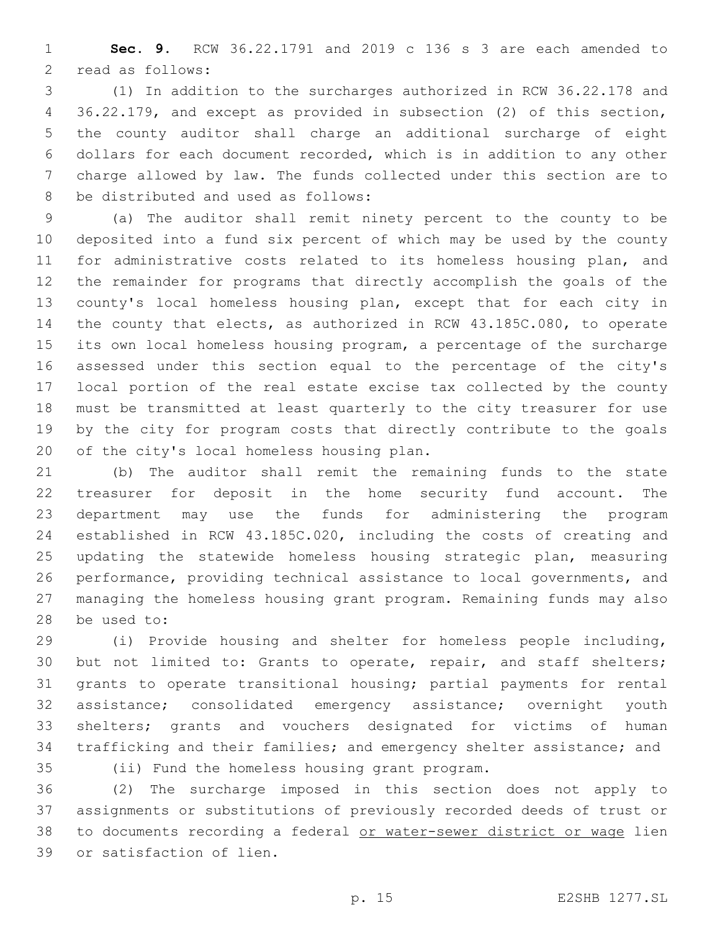**Sec. 9.** RCW 36.22.1791 and 2019 c 136 s 3 are each amended to 2 read as follows:

 (1) In addition to the surcharges authorized in RCW 36.22.178 and 36.22.179, and except as provided in subsection (2) of this section, the county auditor shall charge an additional surcharge of eight dollars for each document recorded, which is in addition to any other charge allowed by law. The funds collected under this section are to 8 be distributed and used as follows:

 (a) The auditor shall remit ninety percent to the county to be deposited into a fund six percent of which may be used by the county 11 for administrative costs related to its homeless housing plan, and the remainder for programs that directly accomplish the goals of the county's local homeless housing plan, except that for each city in the county that elects, as authorized in RCW 43.185C.080, to operate its own local homeless housing program, a percentage of the surcharge assessed under this section equal to the percentage of the city's local portion of the real estate excise tax collected by the county must be transmitted at least quarterly to the city treasurer for use by the city for program costs that directly contribute to the goals 20 of the city's local homeless housing plan.

 (b) The auditor shall remit the remaining funds to the state treasurer for deposit in the home security fund account. The department may use the funds for administering the program established in RCW 43.185C.020, including the costs of creating and updating the statewide homeless housing strategic plan, measuring performance, providing technical assistance to local governments, and managing the homeless housing grant program. Remaining funds may also 28 be used to:

 (i) Provide housing and shelter for homeless people including, 30 but not limited to: Grants to operate, repair, and staff shelters; grants to operate transitional housing; partial payments for rental assistance; consolidated emergency assistance; overnight youth shelters; grants and vouchers designated for victims of human trafficking and their families; and emergency shelter assistance; and

(ii) Fund the homeless housing grant program.35

 (2) The surcharge imposed in this section does not apply to assignments or substitutions of previously recorded deeds of trust or to documents recording a federal or water-sewer district or wage lien 39 or satisfaction of lien.